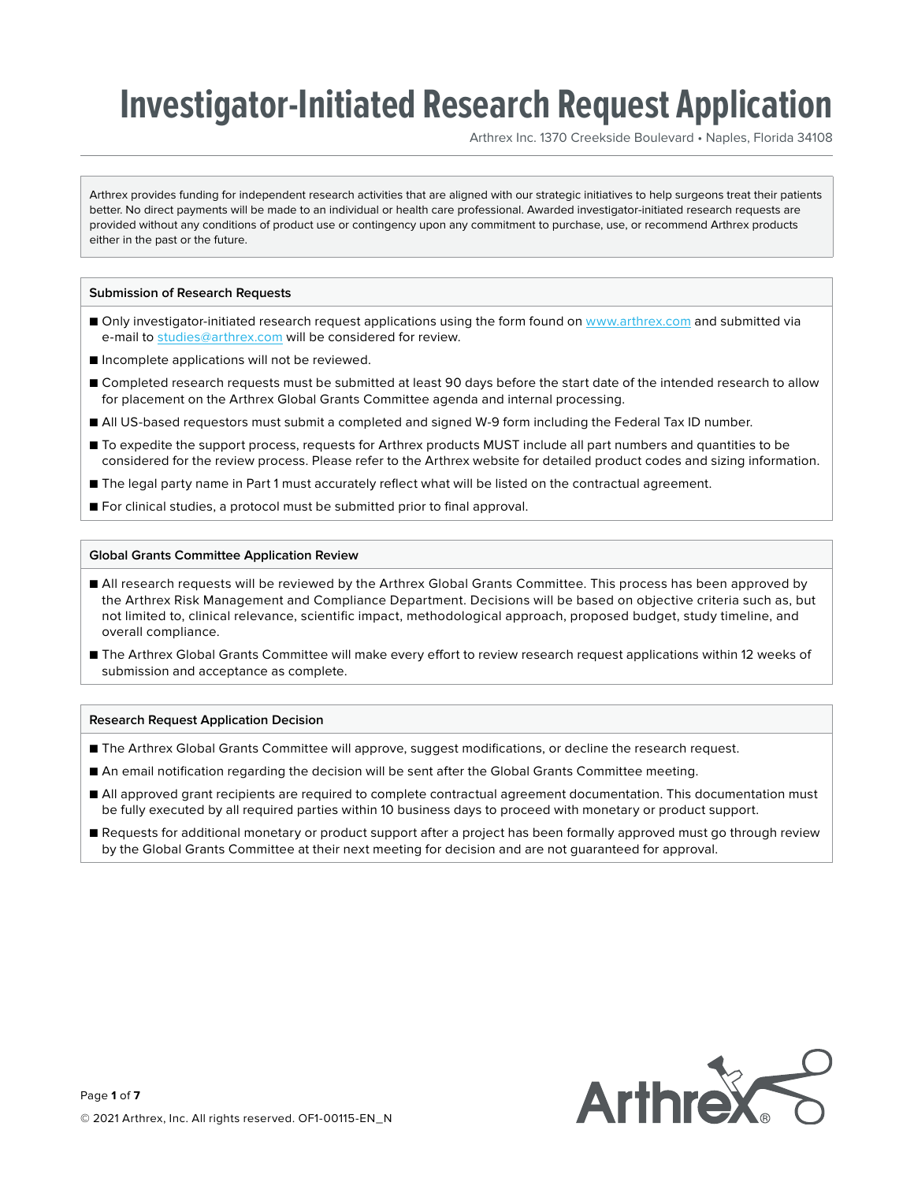Arthrex Inc. 1370 Creekside Boulevard • Naples, Florida 34108

Arthrex provides funding for independent research activities that are aligned with our strategic initiatives to help surgeons treat their patients better. No direct payments will be made to an individual or health care professional. Awarded investigator-initiated research requests are provided without any conditions of product use or contingency upon any commitment to purchase, use, or recommend Arthrex products either in the past or the future.

### **Submission of Research Requests**

- Only investigator-initiated research request applications using the form found on www.arthrex.com and submitted via e-mail to studies@arthrex.com will be considered for review.
- Incomplete applications will not be reviewed.
- Completed research requests must be submitted at least 90 days before the start date of the intended research to allow for placement on the Arthrex Global Grants Committee agenda and internal processing.
- All US-based requestors must submit a completed and signed W-9 form including the Federal Tax ID number.
- To expedite the support process, requests for Arthrex products MUST include all part numbers and quantities to be considered for the review process. Please refer to the Arthrex website for detailed product codes and sizing information.
- The legal party name in Part 1 must accurately reflect what will be listed on the contractual agreement.
- For clinical studies, a protocol must be submitted prior to final approval.

#### **Global Grants Committee Application Review**

- All research requests will be reviewed by the Arthrex Global Grants Committee. This process has been approved by the Arthrex Risk Management and Compliance Department. Decisions will be based on objective criteria such as, but not limited to, clinical relevance, scientific impact, methodological approach, proposed budget, study timeline, and overall compliance.
- The Arthrex Global Grants Committee will make every effort to review research request applications within 12 weeks of submission and acceptance as complete.

#### **Research Request Application Decision**

- The Arthrex Global Grants Committee will approve, suggest modifications, or decline the research request.
- An email notification regarding the decision will be sent after the Global Grants Committee meeting.
- All approved grant recipients are required to complete contractual agreement documentation. This documentation must be fully executed by all required parties within 10 business days to proceed with monetary or product support.
- Requests for additional monetary or product support after a project has been formally approved must go through review by the Global Grants Committee at their next meeting for decision and are not guaranteed for approval.

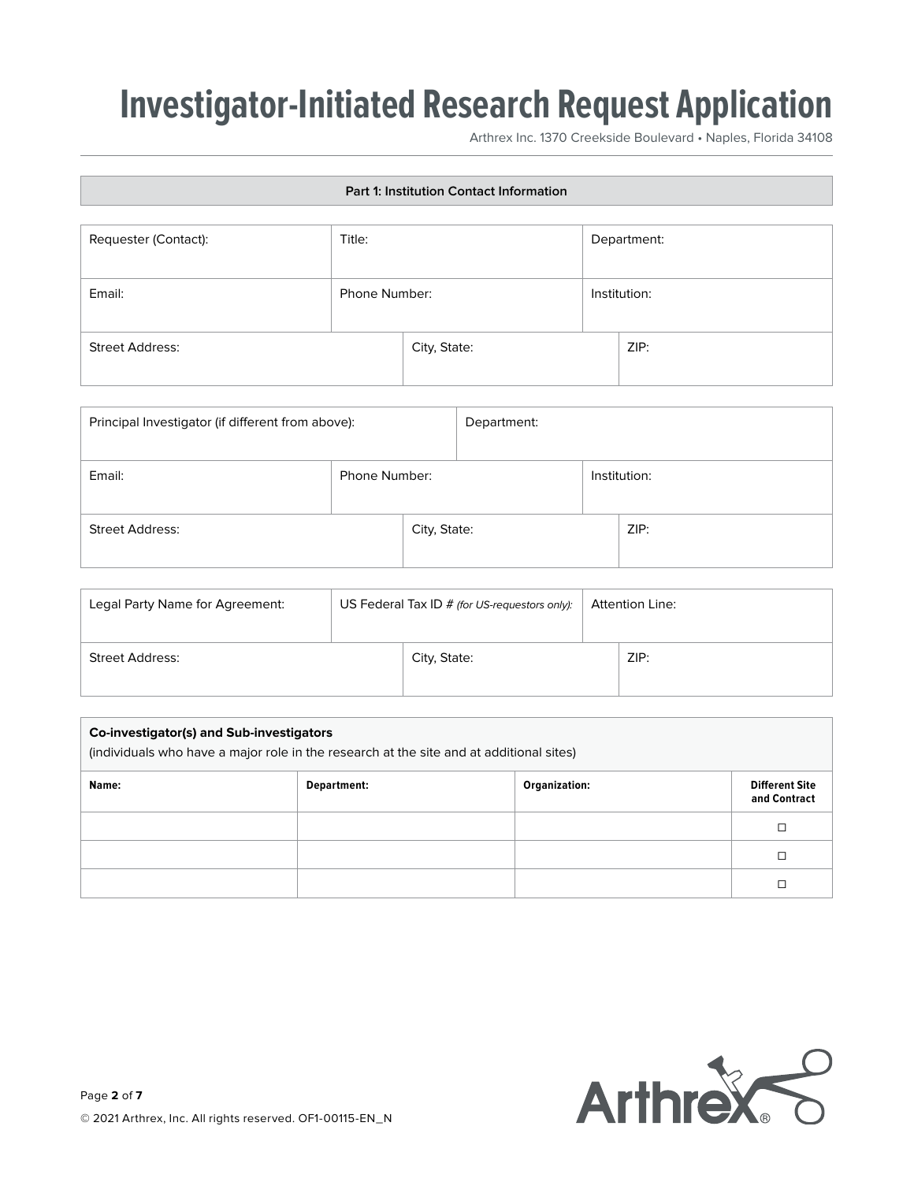Arthrex Inc. 1370 Creekside Boulevard • Naples, Florida 34108

| Part 1: Institution Contact Information |               |              |             |              |
|-----------------------------------------|---------------|--------------|-------------|--------------|
| Requester (Contact):                    | Title:        |              | Department: |              |
| Email:                                  | Phone Number: |              |             | Institution: |
| <b>Street Address:</b>                  |               | City, State: |             | ZIP:         |

| Principal Investigator (if different from above): |               |              | Department: |              |
|---------------------------------------------------|---------------|--------------|-------------|--------------|
| Email:                                            | Phone Number: |              |             | Institution: |
| <b>Street Address:</b>                            |               | City, State: |             | ZIP:         |

| Legal Party Name for Agreement: | US Federal Tax ID $#$ (for US-requestors only): |              | <b>Attention Line:</b> |      |
|---------------------------------|-------------------------------------------------|--------------|------------------------|------|
| Street Address:                 |                                                 | City, State: |                        | ZIP: |

| Co-investigator(s) and Sub-investigators<br>(individuals who have a major role in the research at the site and at additional sites) |             |               |                                       |
|-------------------------------------------------------------------------------------------------------------------------------------|-------------|---------------|---------------------------------------|
| Name:                                                                                                                               | Department: | Organization: | <b>Different Site</b><br>and Contract |
|                                                                                                                                     |             |               | □                                     |
|                                                                                                                                     |             |               | □                                     |
|                                                                                                                                     |             |               |                                       |

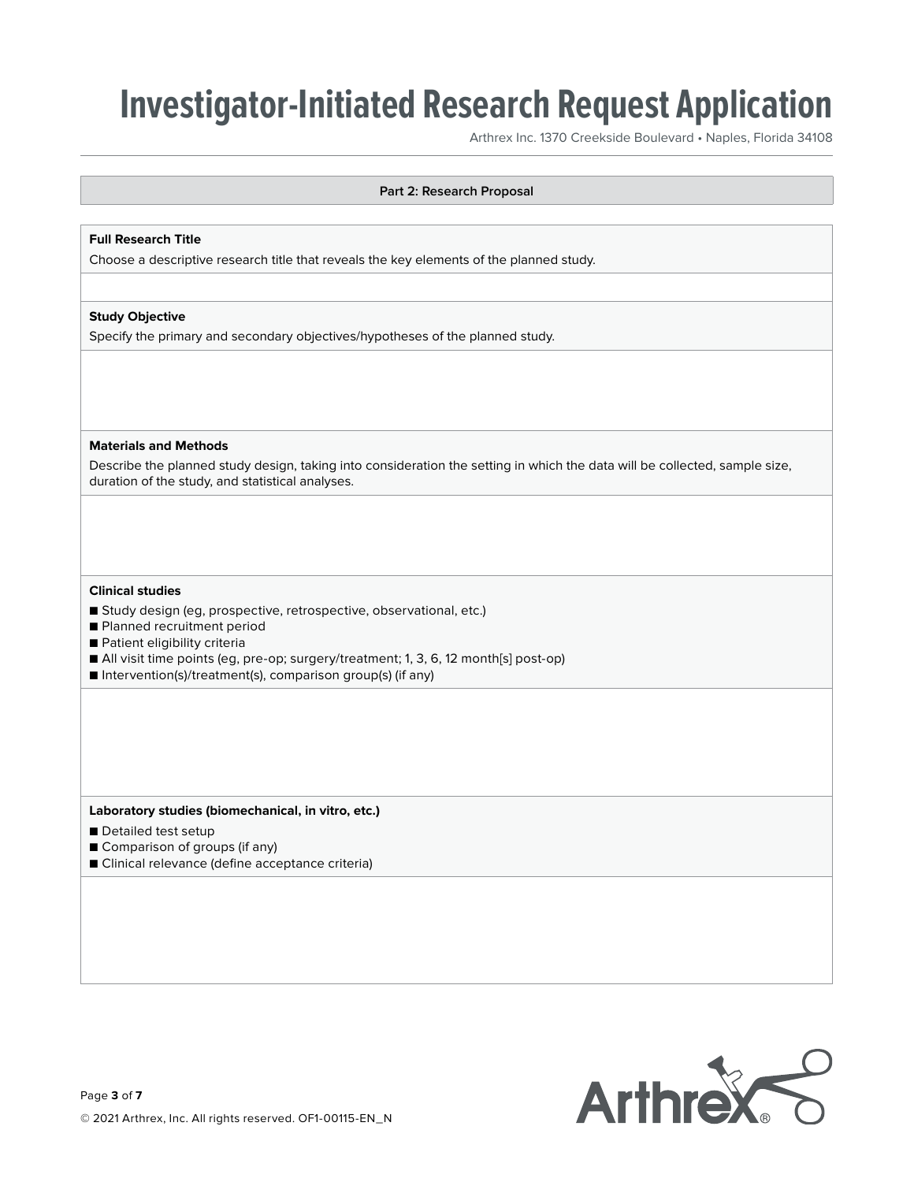Arthrex Inc. 1370 Creekside Boulevard • Naples, Florida 34108

### **Part 2: Research Proposal**

### **Full Research Title**

Choose a descriptive research title that reveals the key elements of the planned study.

### **Study Objective**

Specify the primary and secondary objectives/hypotheses of the planned study.

#### **Materials and Methods**

Describe the planned study design, taking into consideration the setting in which the data will be collected, sample size, duration of the study, and statistical analyses.

#### **Clinical studies**

- Study design (eg, prospective, retrospective, observational, etc.)
- Planned recruitment period
- Patient eligibility criteria
- All visit time points (eg, pre-op; surgery/treatment; 1, 3, 6, 12 month[s] post-op)
- Intervention(s)/treatment(s), comparison group(s) (if any)

**Laboratory studies (biomechanical, in vitro, etc.)**

- Detailed test setup
- Comparison of groups (if any)
- Clinical relevance (define acceptance criteria)

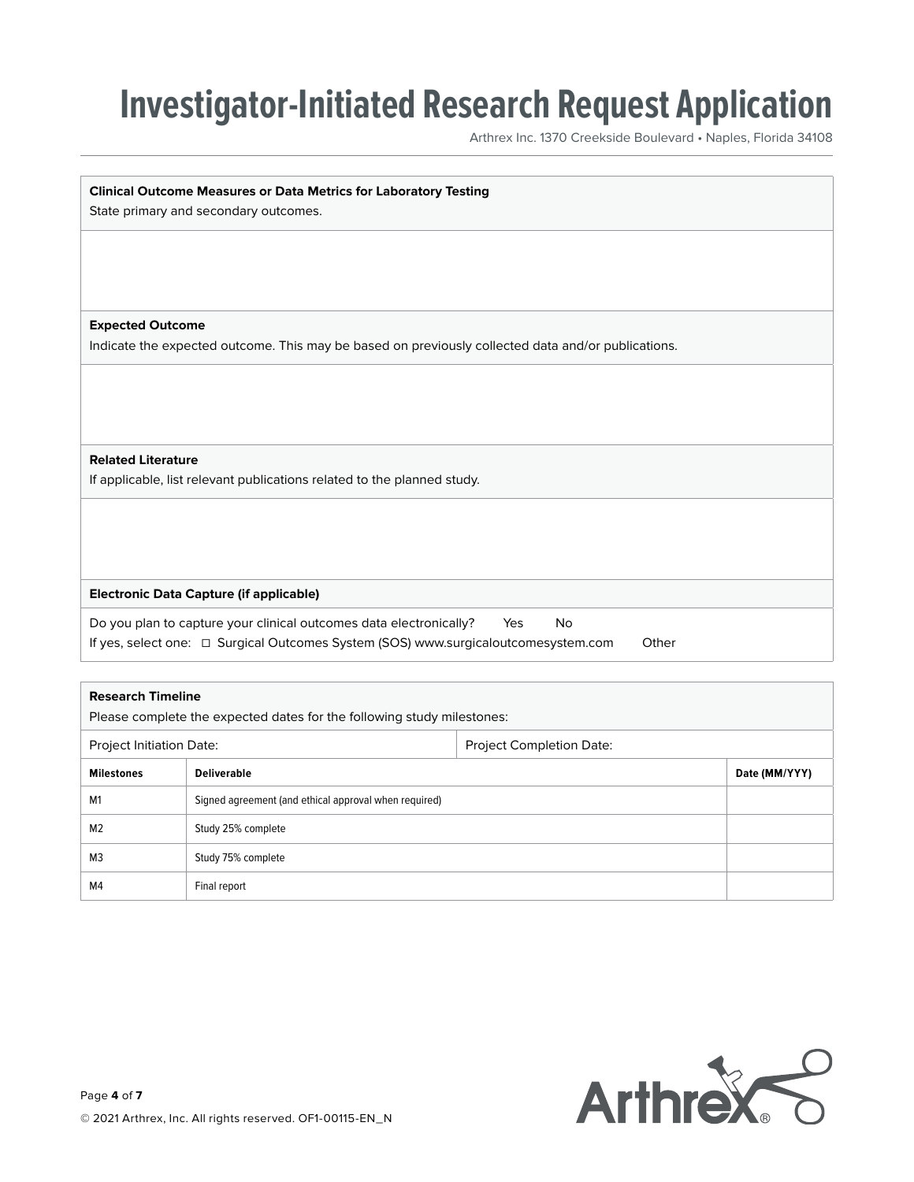Arthrex Inc. 1370 Creekside Boulevard • Naples, Florida 34108

| <b>Clinical Outcome Measures or Data Metrics for Laboratory Testing</b>                            |
|----------------------------------------------------------------------------------------------------|
| State primary and secondary outcomes.                                                              |
|                                                                                                    |
|                                                                                                    |
|                                                                                                    |
|                                                                                                    |
| <b>Expected Outcome</b>                                                                            |
| Indicate the expected outcome. This may be based on previously collected data and/or publications. |
|                                                                                                    |
|                                                                                                    |
|                                                                                                    |
|                                                                                                    |
| <b>Related Literature</b>                                                                          |
| If applicable, list relevant publications related to the planned study.                            |
|                                                                                                    |
|                                                                                                    |
|                                                                                                    |
|                                                                                                    |
| <b>Electronic Data Capture (if applicable)</b>                                                     |
| Do you plan to capture your clinical outcomes data electronically?<br>Yes<br>No                    |
| If yes, select one: □ Surgical Outcomes System (SOS) www.surgicaloutcomesystem.com<br>Other        |
|                                                                                                    |

| <b>Research Timeline</b><br>Please complete the expected dates for the following study milestones: |                                                       |  |               |
|----------------------------------------------------------------------------------------------------|-------------------------------------------------------|--|---------------|
| Project Completion Date:<br>Project Initiation Date:                                               |                                                       |  |               |
| <b>Milestones</b>                                                                                  | <b>Deliverable</b>                                    |  | Date (MM/YYY) |
| M <sub>1</sub>                                                                                     | Signed agreement (and ethical approval when required) |  |               |
| M <sub>2</sub>                                                                                     | Study 25% complete                                    |  |               |
| M <sub>3</sub>                                                                                     | Study 75% complete                                    |  |               |
| M4                                                                                                 | Final report                                          |  |               |

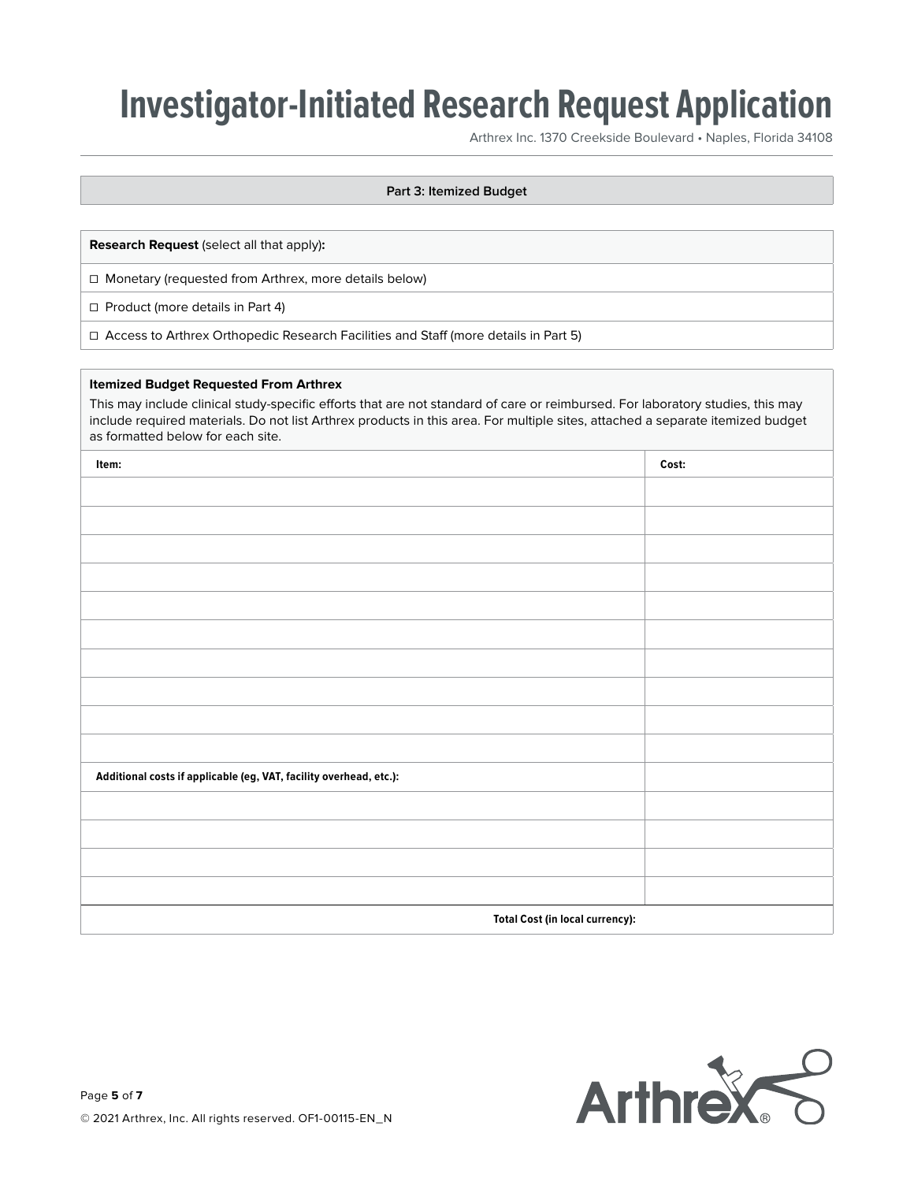Arthrex Inc. 1370 Creekside Boulevard • Naples, Florida 34108

### **Part 3: Itemized Budget**

**Research Request** (select all that apply)**:**

☐ Monetary (requested from Arthrex, more details below)

☐ Product (more details in Part 4)

☐ Access to Arthrex Orthopedic Research Facilities and Staff (more details in Part 5)

### **Itemized Budget Requested From Arthrex**

This may include clinical study-specific efforts that are not standard of care or reimbursed. For laboratory studies, this may include required materials. Do not list Arthrex products in this area. For multiple sites, attached a separate itemized budget as formatted below for each site.

| Item:                                                              | Cost: |
|--------------------------------------------------------------------|-------|
|                                                                    |       |
|                                                                    |       |
|                                                                    |       |
|                                                                    |       |
|                                                                    |       |
|                                                                    |       |
|                                                                    |       |
|                                                                    |       |
|                                                                    |       |
|                                                                    |       |
| Additional costs if applicable (eg, VAT, facility overhead, etc.): |       |
|                                                                    |       |
|                                                                    |       |
|                                                                    |       |
|                                                                    |       |
| <b>Total Cost (in local currency):</b>                             |       |

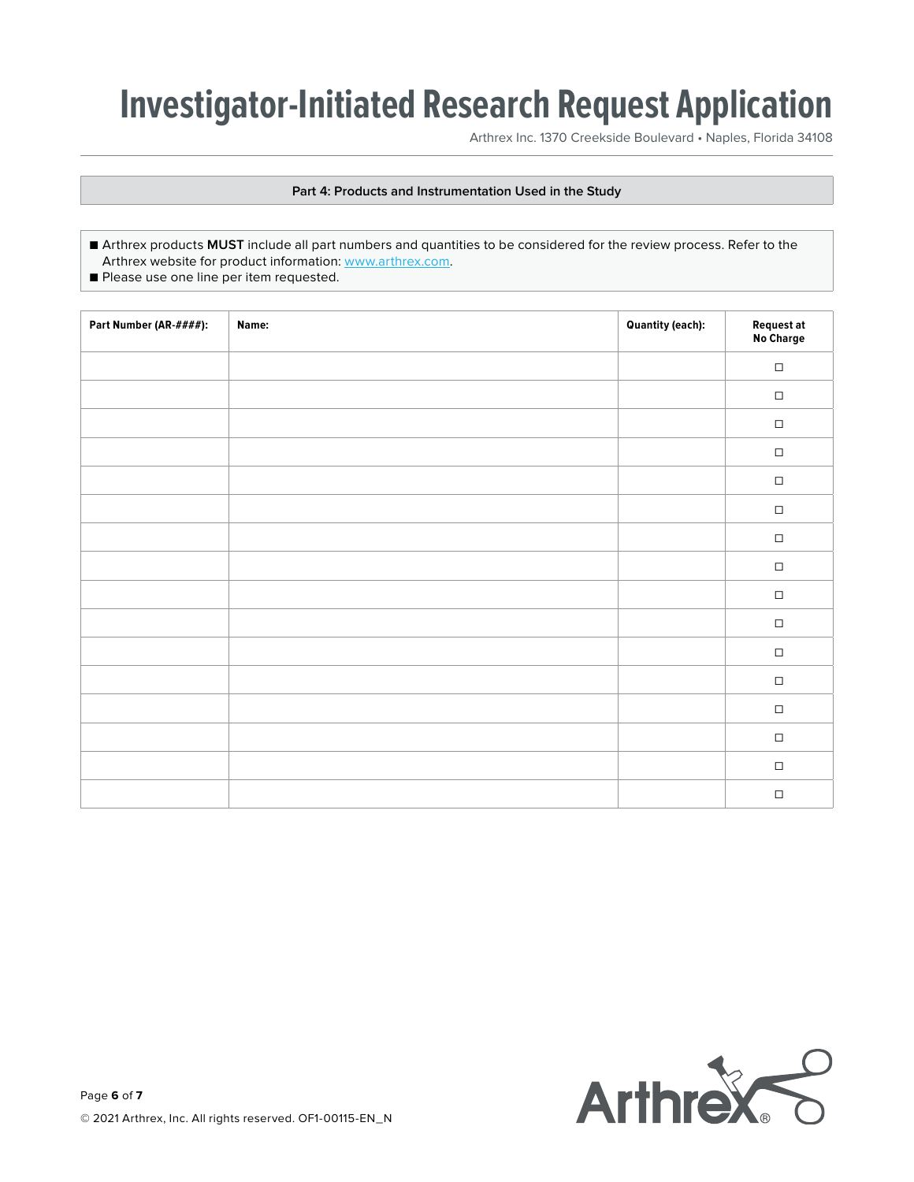Arthrex Inc. 1370 Creekside Boulevard • Naples, Florida 34108

## **Part 4: Products and Instrumentation Used in the Study**

- Arthrex products **MUST** include all part numbers and quantities to be considered for the review process. Refer to the Arthrex website for product information: [www.arthrex.com](http://www.arthrex.com).
- Please use one line per item requested.

| Part Number (AR-####): | Name: | <b>Quantity (each):</b> | Request at<br>No Charge |
|------------------------|-------|-------------------------|-------------------------|
|                        |       |                         | $\Box$                  |
|                        |       |                         | $\Box$                  |
|                        |       |                         | $\Box$                  |
|                        |       |                         | $\Box$                  |
|                        |       |                         | $\Box$                  |
|                        |       |                         | $\hfill\square$         |
|                        |       |                         | $\Box$                  |
|                        |       |                         | $\Box$                  |
|                        |       |                         | $\Box$                  |
|                        |       |                         | $\Box$                  |
|                        |       |                         | $\Box$                  |
|                        |       |                         | $\hfill\square$         |
|                        |       |                         | $\Box$                  |
|                        |       |                         | $\Box$                  |
|                        |       |                         | $\hfill\square$         |
|                        |       |                         | $\Box$                  |